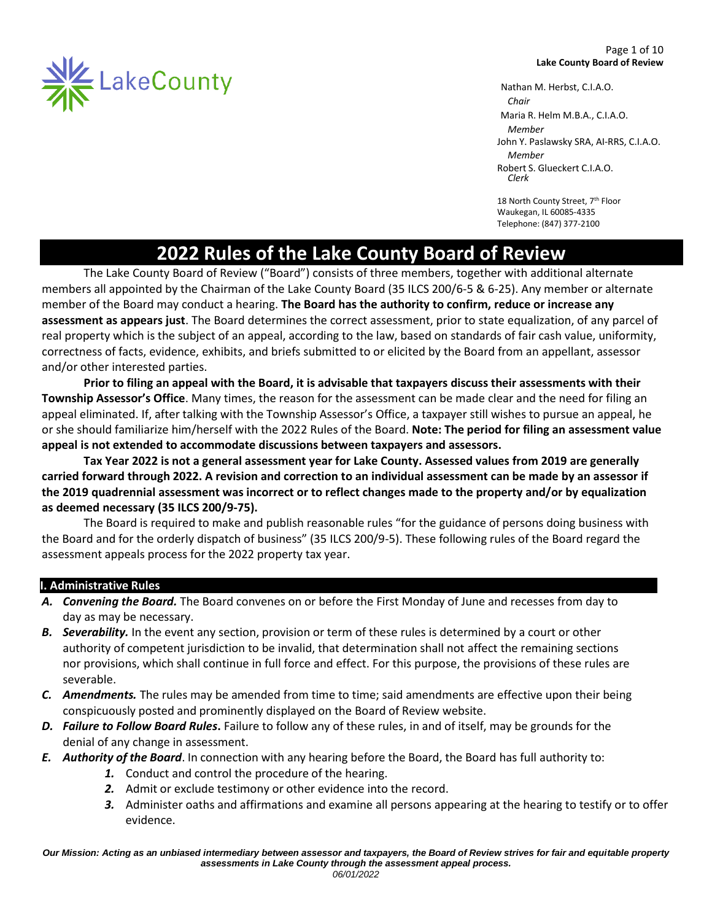

Nathan M. Herbst, C.I.A.O.  *Chair*  Maria R. Helm M.B.A., C.I.A.O. *Member* John Y. Paslawsky SRA, AI-RRS, C.I.A.O. *Member*  Robert S. Glueckert C.I.A.O. *Clerk*

18 North County Street, 7<sup>th</sup> Floor Waukegan, IL 60085-4335 Telephone: (847) 377-2100

# **2022 Rules of the Lake County Board of Review**

The Lake County Board of Review ("Board") consists of three members, together with additional alternate members all appointed by the Chairman of the Lake County Board (35 ILCS 200/6-5 & 6-25). Any member or alternate member of the Board may conduct a hearing. **The Board has the authority to confirm, reduce or increase any assessment as appears just**. The Board determines the correct assessment, prior to state equalization, of any parcel of real property which is the subject of an appeal, according to the law, based on standards of fair cash value, uniformity, correctness of facts, evidence, exhibits, and briefs submitted to or elicited by the Board from an appellant, assessor and/or other interested parties.

**Prior to filing an appeal with the Board, it is advisable that taxpayers discuss their assessments with their Township Assessor's Office**. Many times, the reason for the assessment can be made clear and the need for filing an appeal eliminated. If, after talking with the Township Assessor's Office, a taxpayer still wishes to pursue an appeal, he or she should familiarize him/herself with the 2022 Rules of the Board. **Note: The period for filing an assessment value appeal is not extended to accommodate discussions between taxpayers and assessors.**

**Tax Year 2022 is not a general assessment year for Lake County. Assessed values from 2019 are generally carried forward through 2022. A revision and correction to an individual assessment can be made by an assessor if the 2019 quadrennial assessment was incorrect or to reflect changes made to the property and/or by equalization as deemed necessary (35 ILCS 200/9-75).**

The Board is required to make and publish reasonable rules "for the guidance of persons doing business with the Board and for the orderly dispatch of business" (35 ILCS 200/9-5). These following rules of the Board regard the assessment appeals process for the 2022 property tax year.

# **I. Administrative Rules**

- *A. Convening the Board.* The Board convenes on or before the First Monday of June and recesses from day to day as may be necessary.
- *B. Severability.* In the event any section, provision or term of these rules is determined by a court or other authority of competent jurisdiction to be invalid, that determination shall not affect the remaining sections nor provisions, which shall continue in full force and effect. For this purpose, the provisions of these rules are severable.
- *C. Amendments.* The rules may be amended from time to time; said amendments are effective upon their being conspicuously posted and prominently displayed on the Board of Review website.
- *D. Failure to Follow Board Rules***.** Failure to follow any of these rules, in and of itself, may be grounds for the denial of any change in assessment.
- *E. Authority of the Board*. In connection with any hearing before the Board, the Board has full authority to:
	- *1.* Conduct and control the procedure of the hearing.
	- *2.* Admit or exclude testimony or other evidence into the record.
	- *3.* Administer oaths and affirmations and examine all persons appearing at the hearing to testify or to offer evidence.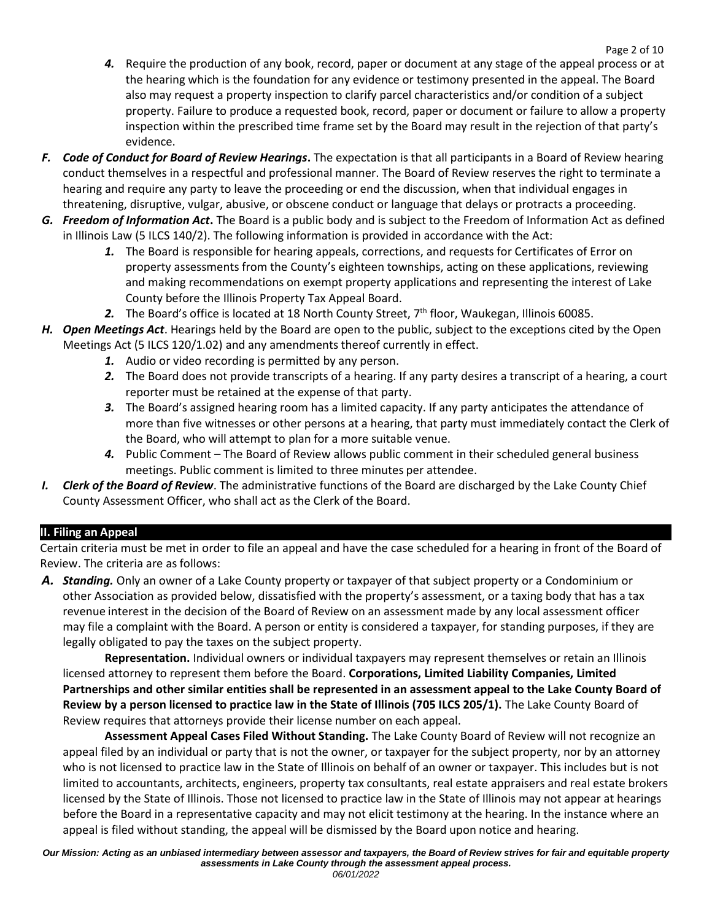- *4.* Require the production of any book, record, paper or document at any stage of the appeal process or at the hearing which is the foundation for any evidence or testimony presented in the appeal. The Board also may request a property inspection to clarify parcel characteristics and/or condition of a subject property. Failure to produce a requested book, record, paper or document or failure to allow a property inspection within the prescribed time frame set by the Board may result in the rejection of that party's evidence.
- *F. Code of Conduct for Board of Review Hearings***.** The expectation is that all participants in a Board of Review hearing conduct themselves in a respectful and professional manner. The Board of Review reserves the right to terminate a hearing and require any party to leave the proceeding or end the discussion, when that individual engages in threatening, disruptive, vulgar, abusive, or obscene conduct or language that delays or protracts a proceeding.
- *G. Freedom of Information Act***.** The Board is a public body and is subject to the Freedom of Information Act as defined in Illinois Law (5 ILCS 140/2). The following information is provided in accordance with the Act:
	- *1.* The Board is responsible for hearing appeals, corrections, and requests for Certificates of Error on property assessments from the County's eighteen townships, acting on these applications, reviewing and making recommendations on exempt property applications and representing the interest of Lake County before the Illinois Property Tax Appeal Board.
	- 2. The Board's office is located at 18 North County Street, 7<sup>th</sup> floor, Waukegan, Illinois 60085.
- *H. Open Meetings Act*. Hearings held by the Board are open to the public, subject to the exceptions cited by the Open Meetings Act (5 ILCS 120/1.02) and any amendments thereof currently in effect.
	- *1.* Audio or video recording is permitted by any person.
	- *2.* The Board does not provide transcripts of a hearing. If any party desires a transcript of a hearing, a court reporter must be retained at the expense of that party.
	- *3.* The Board's assigned hearing room has a limited capacity. If any party anticipates the attendance of more than five witnesses or other persons at a hearing, that party must immediately contact the Clerk of the Board, who will attempt to plan for a more suitable venue.
	- *4.* Public Comment The Board of Review allows public comment in their scheduled general business meetings. Public comment is limited to three minutes per attendee.
- *I. Clerk of the Board of Review*. The administrative functions of the Board are discharged by the Lake County Chief County Assessment Officer, who shall act as the Clerk of the Board.

# **II. Filing an Appeal**

Certain criteria must be met in order to file an appeal and have the case scheduled for a hearing in front of the Board of Review. The criteria are as follows:

*A. Standing.* Only an owner of a Lake County property or taxpayer of that subject property or a Condominium or other Association as provided below, dissatisfied with the property's assessment, or a taxing body that has a tax revenue interest in the decision of the Board of Review on an assessment made by any local assessment officer may file a complaint with the Board. A person or entity is considered a taxpayer, for standing purposes, if they are legally obligated to pay the taxes on the subject property.

**Representation.** Individual owners or individual taxpayers may represent themselves or retain an Illinois licensed attorney to represent them before the Board. **Corporations, Limited Liability Companies, Limited Partnerships and other similar entities shall be represented in an assessment appeal to the Lake County Board of Review by a person licensed to practice law in the State of Illinois (705 ILCS 205/1).** The Lake County Board of Review requires that attorneys provide their license number on each appeal.

**Assessment Appeal Cases Filed Without Standing.** The Lake County Board of Review will not recognize an appeal filed by an individual or party that is not the owner, or taxpayer for the subject property, nor by an attorney who is not licensed to practice law in the State of Illinois on behalf of an owner or taxpayer. This includes but is not limited to accountants, architects, engineers, property tax consultants, real estate appraisers and real estate brokers licensed by the State of Illinois. Those not licensed to practice law in the State of Illinois may not appear at hearings before the Board in a representative capacity and may not elicit testimony at the hearing. In the instance where an appeal is filed without standing, the appeal will be dismissed by the Board upon notice and hearing.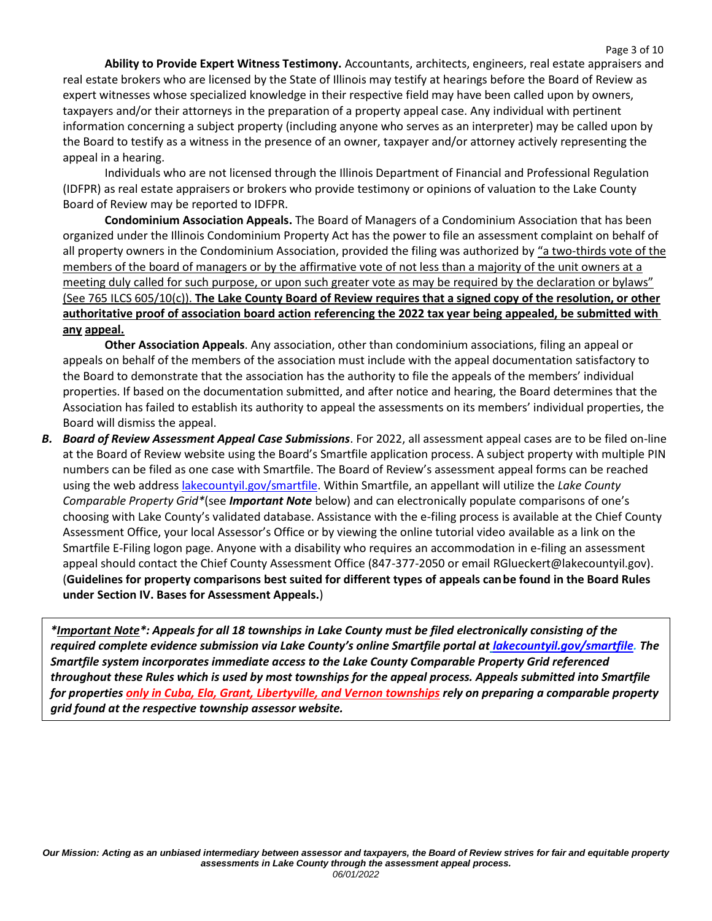**Ability to Provide Expert Witness Testimony.** Accountants, architects, engineers, real estate appraisers and real estate brokers who are licensed by the State of Illinois may testify at hearings before the Board of Review as expert witnesses whose specialized knowledge in their respective field may have been called upon by owners, taxpayers and/or their attorneys in the preparation of a property appeal case. Any individual with pertinent information concerning a subject property (including anyone who serves as an interpreter) may be called upon by the Board to testify as a witness in the presence of an owner, taxpayer and/or attorney actively representing the appeal in a hearing.

Individuals who are not licensed through the Illinois Department of Financial and Professional Regulation (IDFPR) as real estate appraisers or brokers who provide testimony or opinions of valuation to the Lake County Board of Review may be reported to IDFPR.

**Condominium Association Appeals.** The Board of Managers of a Condominium Association that has been organized under the Illinois Condominium Property Act has the power to file an assessment complaint on behalf of all property owners in the Condominium Association, provided the filing was authorized by "a two-thirds vote of the members of the board of managers or by the affirmative vote of not less than a majority of the unit owners at a meeting duly called for such purpose, or upon such greater vote as may be required by the declaration or bylaws" (See 765 ILCS 605/10(c)). **The Lake County Board of Review requires that a signed copy of the resolution, or other authoritative proof of association board action referencing the 2022 tax year being appealed, be submitted with any appeal.**

**Other Association Appeals**. Any association, other than condominium associations, filing an appeal or appeals on behalf of the members of the association must include with the appeal documentation satisfactory to the Board to demonstrate that the association has the authority to file the appeals of the members' individual properties. If based on the documentation submitted, and after notice and hearing, the Board determines that the Association has failed to establish its authority to appeal the assessments on its members' individual properties, the Board will dismiss the appeal.

*B. Board of Review Assessment Appeal Case Submissions*. For 2022, all assessment appeal cases are to be filed on-line at the Board of Review website using the Board's Smartfile application process. A subject property with multiple PIN numbers can be filed as one case with Smartfile. The Board of Review's assessment appeal forms can be reached using the web address [lakecountyil.gov/smartfile.](https://www.lakecountyil.gov/smartfile) Within Smartfile, an appellant will utilize the *Lake County Comparable Property Grid\**(see *Important Note* below) and can electronically populate comparisons of one's choosing with Lake County's validated database. Assistance with the e-filing process is available at the Chief County Assessment Office, your local Assessor's Office or by viewing the online tutorial video available as a link on the Smartfile E-Filing logon page. Anyone with a disability who requires an accommodation in e-filing an assessment appeal should contact the Chief County Assessment Office (847-377-2050 or email RGlueckert@lakecountyil.gov). (**Guidelines for property comparisons best suited for different types of appeals can be found in the Board Rules under Section IV. Bases for Assessment Appeals.**)

*\*Important Note\*: Appeals for all 18 townships in Lake County must be filed electronically consisting of the required complete evidence submission via Lake County's online Smartfile portal at [lakecountyil.gov/smartfile.](https://www.lakecountyil.gov/smartfile) The Smartfile system incorporates immediate access to the Lake County Comparable Property Grid referenced throughout these Rules which is used by most townships for the appeal process. Appeals submitted into Smartfile for properties only in Cuba, Ela, Grant, Libertyville, and Vernon townships rely on preparing a comparable property grid found at the respective township assessor website.*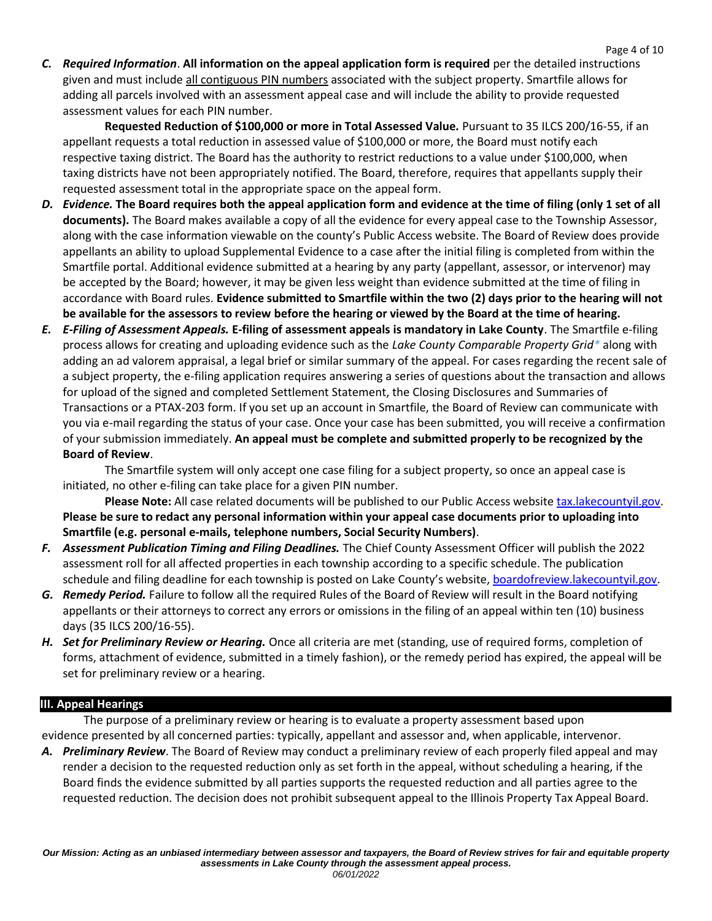*C. Required Information*. **All information on the appeal application form is required** per the detailed instructions given and must include all contiguous PIN numbers associated with the subject property. Smartfile allows for adding all parcels involved with an assessment appeal case and will include the ability to provide requested assessment values for each PIN number.

Page 4 of 10

**Requested Reduction of \$100,000 or more in Total Assessed Value***.* Pursuant to 35 ILCS 200/16-55, if an appellant requests a total reduction in assessed value of \$100,000 or more, the Board must notify each respective taxing district. The Board has the authority to restrict reductions to a value under \$100,000, when taxing districts have not been appropriately notified. The Board, therefore, requires that appellants supply their requested assessment total in the appropriate space on the appeal form.

- *D. Evidence.* **The Board requires both the appeal application form and evidence at the time of filing (only 1 set of all documents).** The Board makes available a copy of all the evidence for every appeal case to the Township Assessor, along with the case information viewable on the county's Public Access website. The Board of Review does provide appellants an ability to upload Supplemental Evidence to a case after the initial filing is completed from within the Smartfile portal. Additional evidence submitted at a hearing by any party (appellant, assessor, or intervenor) may be accepted by the Board; however, it may be given less weight than evidence submitted at the time of filing in accordance with Board rules. **Evidence submitted to Smartfile within the two (2) days prior to the hearing will not** be available for the assessors to review before the hearing or viewed by the Board at the time of hearing.
- *E. E-Filing of Assessment Appeals.* **E-filing of assessment appeals is mandatory in Lake County**. The Smartfile e-filing process allows for creating and uploading evidence such as the *Lake County Comparable Property Grid\** along with adding an ad valorem appraisal, a legal brief or similar summary of the appeal. For cases regarding the recent sale of a subject property, the e-filing application requires answering a series of questions about the transaction and allows for upload of the signed and completed Settlement Statement, the Closing Disclosures and Summaries of Transactions or a PTAX-203 form. If you set up an account in Smartfile, the Board of Review can communicate with you via e-mail regarding the status of your case. Once your case has been submitted, you will receive a confirmation of your submission immediately. **An appeal must be complete and submitted properly to be recognized by the Board of Review**.

The Smartfile system will only accept one case filing for a subject property, so once an appeal case is initiated, no other e-filing can take place for a given PIN number.

**Please Note:** All case related documents will be published to our Public Access website [tax.lakecountyil.gov.](http://tax.lakecountyil.gov/) Please be sure to redact any personal information within your appeal case documents prior to uploading into **Smartfile (e.g. personal e-mails, telephone numbers, Social Security Numbers)**.

- *F. Assessment Publication Timing and Filing Deadlines.* The Chief County Assessment Officer will publish the 2022 assessment roll for all affected properties in each township according to a specific schedule. The publication schedule and filing deadline for each township is posted on Lake County's website, [boardofreview.lakecountyil.gov.](http://boardofreview.lakecountyil.gov/)
- *G. Remedy Period.* Failure to follow all the required Rules of the Board of Review will result in the Board notifying appellants or their attorneys to correct any errors or omissions in the filing of an appeal within ten (10) business days (35 ILCS 200/16-55).
- *H. Set for Preliminary Review or Hearing.* Once all criteria are met (standing, use of required forms, completion of forms, attachment of evidence, submitted in a timely fashion), or the remedy period has expired, the appeal will be set for preliminary review or a hearing.

# **III. Appeal Hearings**

The purpose of a preliminary review or hearing is to evaluate a property assessment based upon evidence presented by all concerned parties: typically, appellant and assessor and, when applicable, intervenor.

*A. Preliminary Review*. The Board of Review may conduct a preliminary review of each properly filed appeal and may render a decision to the requested reduction only as set forth in the appeal, without scheduling a hearing, if the Board finds the evidence submitted by all parties supports the requested reduction and all parties agree to the requested reduction. The decision does not prohibit subsequent appeal to the Illinois Property Tax Appeal Board.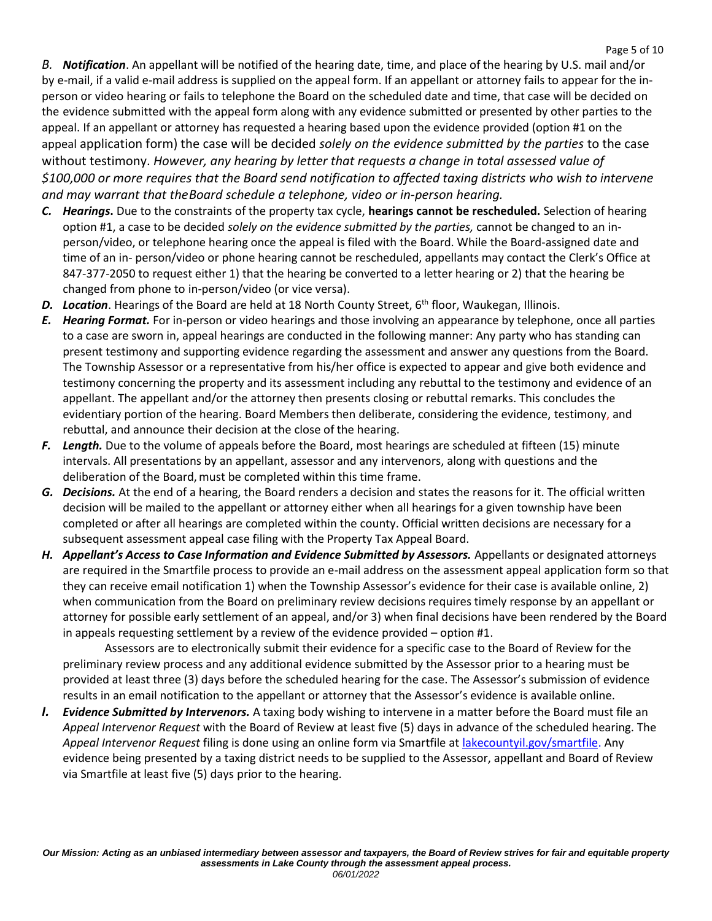*B. Notification*. An appellant will be notified of the hearing date, time, and place of the hearing by U.S. mail and/or by e-mail, if a valid e-mail address is supplied on the appeal form. If an appellant or attorney fails to appear for the inperson or video hearing or fails to telephone the Board on the scheduled date and time, that case will be decided on the evidence submitted with the appeal form along with any evidence submitted or presented by other parties to the appeal. If an appellant or attorney has requested a hearing based upon the evidence provided (option #1 on the appeal application form) the case will be decided *solely on the evidence submitted by the parties* to the case without testimony. *However, any hearing by letter that requests a change in total assessed value of \$100,000 or more requires that the Board send notification to affected taxing districts who wish to intervene and may warrant that theBoard schedule a telephone, video or in-person hearing.*

- *C. Hearings***.** Due to the constraints of the property tax cycle, **hearings cannot be rescheduled.** Selection of hearing option #1, a case to be decided *solely on the evidence submitted by the parties,* cannot be changed to an inperson/video, or telephone hearing once the appeal is filed with the Board. While the Board-assigned date and time of an in- person/video or phone hearing cannot be rescheduled, appellants may contact the Clerk's Office at 847-377-2050 to request either 1) that the hearing be converted to a letter hearing or 2) that the hearing be changed from phone to in-person/video (or vice versa).
- D. Location. Hearings of the Board are held at 18 North County Street, 6<sup>th</sup> floor, Waukegan, Illinois.
- *E. Hearing Format.* For in-person or video hearings and those involving an appearance by telephone, once all parties to a case are sworn in, appeal hearings are conducted in the following manner: Any party who has standing can present testimony and supporting evidence regarding the assessment and answer any questions from the Board. The Township Assessor or a representative from his/her office is expected to appear and give both evidence and testimony concerning the property and its assessment including any rebuttal to the testimony and evidence of an appellant. The appellant and/or the attorney then presents closing or rebuttal remarks. This concludes the evidentiary portion of the hearing. Board Members then deliberate, considering the evidence, testimony, and rebuttal, and announce their decision at the close of the hearing.
- *F. Length.* Due to the volume of appeals before the Board, most hearings are scheduled at fifteen (15) minute intervals. All presentations by an appellant, assessor and any intervenors, along with questions and the deliberation of the Board, must be completed within this time frame.
- *G. Decisions.* At the end of a hearing, the Board renders a decision and states the reasons for it. The official written decision will be mailed to the appellant or attorney either when all hearings for a given township have been completed or after all hearings are completed within the county. Official written decisions are necessary for a subsequent assessment appeal case filing with the Property Tax Appeal Board.
- H. *Appellant's Access to Case Information and Evidence Submitted by Assessors.* **Appellants or designated attorneys** are required in the Smartfile process to provide an e-mail address on the assessment appeal application form so that they can receive email notification 1) when the Township Assessor's evidence for their case is available online, 2) when communication from the Board on preliminary review decisions requires timely response by an appellant or attorney for possible early settlement of an appeal, and/or 3) when final decisions have been rendered by the Board in appeals requesting settlement by a review of the evidence provided – option #1.

Assessors are to electronically submit their evidence for a specific case to the Board of Review for the preliminary review process and any additional evidence submitted by the Assessor prior to a hearing must be provided at least three (3) days before the scheduled hearing for the case. The Assessor's submission of evidence results in an email notification to the appellant or attorney that the Assessor's evidence is available online.

*I. Evidence Submitted by Intervenors.* A taxing body wishing to intervene in a matter before the Board must file an *Appeal Intervenor Request* with the Board of Review at least five (5) days in advance of the scheduled hearing. The *Appeal Intervenor Request* filing is done using an online form via Smartfile at [lakecountyil.gov/smartfile.](https://www.lakecountyil.gov/smartfile) Any evidence being presented by a taxing district needs to be supplied to the Assessor, appellant and Board of Review via Smartfile at least five (5) days prior to the hearing.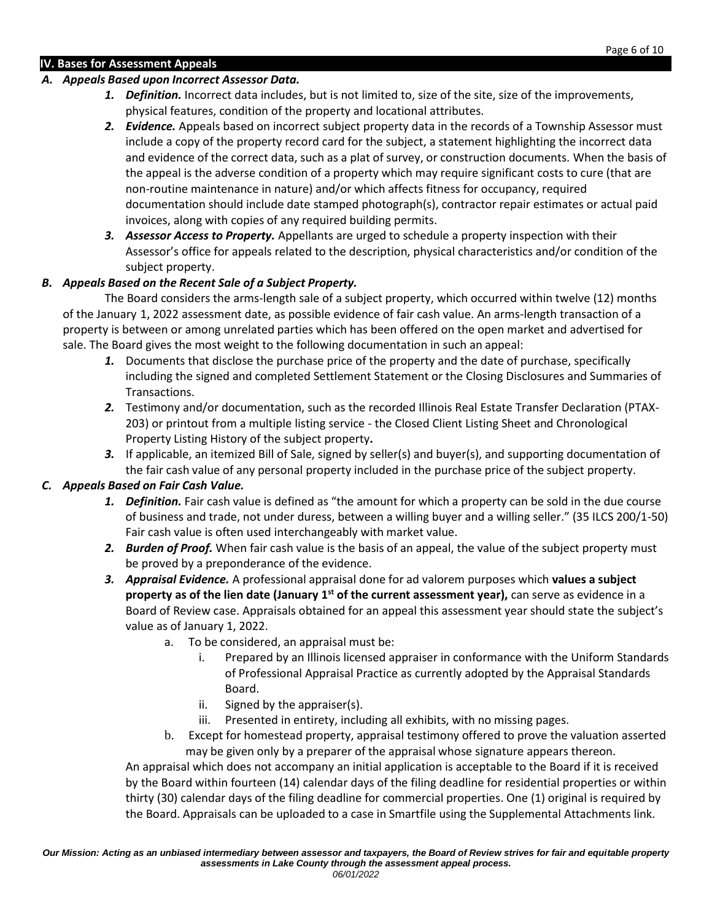### **IV. Bases for Assessment Appeals**

### *A. Appeals Based upon Incorrect Assessor Data.*

- *1. Definition.* Incorrect data includes, but is not limited to, size of the site, size of the improvements, physical features, condition of the property and locational attributes.
- *2. Evidence.* Appeals based on incorrect subject property data in the records of a Township Assessor must include a copy of the property record card for the subject, a statement highlighting the incorrect data and evidence of the correct data, such as a plat of survey, or construction documents. When the basis of the appeal is the adverse condition of a property which may require significant costs to cure (that are non-routine maintenance in nature) and/or which affects fitness for occupancy, required documentation should include date stamped photograph(s), contractor repair estimates or actual paid invoices, along with copies of any required building permits.
- *3. Assessor Access to Property.* Appellants are urged to schedule a property inspection with their Assessor's office for appeals related to the description, physical characteristics and/or condition of the subject property.

# *B. Appeals Based on the Recent Sale of a Subject Property.*

The Board considers the arms-length sale of a subject property, which occurred within twelve (12) months of the January 1, 2022 assessment date, as possible evidence of fair cash value. An arms-length transaction of a property is between or among unrelated parties which has been offered on the open market and advertised for sale. The Board gives the most weight to the following documentation in such an appeal:

- *1.* Documents that disclose the purchase price of the property and the date of purchase, specifically including the signed and completed Settlement Statement or the Closing Disclosures and Summaries of Transactions.
- *2.* Testimony and/or documentation, such as the recorded Illinois Real Estate Transfer Declaration (PTAX-203) or printout from a multiple listing service - the Closed Client Listing Sheet and Chronological Property Listing History of the subject property**.**
- *3.* If applicable, an itemized Bill of Sale, signed by seller(s) and buyer(s), and supporting documentation of the fair cash value of any personal property included in the purchase price of the subject property.

# *C. Appeals Based on Fair Cash Value.*

- *1. Definition.* Fair cash value is defined as "the amount for which a property can be sold in the due course of business and trade, not under duress, between a willing buyer and a willing seller." (35 ILCS 200/1-50) Fair cash value is often used interchangeably with market value.
- *2. Burden of Proof.* When fair cash value is the basis of an appeal, the value of the subject property must be proved by a preponderance of the evidence.
- *3. Appraisal Evidence.* A professional appraisal done for ad valorem purposes which **values a subject property as of the lien date (January 1st of the current assessment year),** can serve as evidence in a Board of Review case. Appraisals obtained for an appeal this assessment year should state the subject's value as of January 1, 2022.
	- a. To be considered, an appraisal must be:
		- i. Prepared by an Illinois licensed appraiser in conformance with the Uniform Standards of Professional Appraisal Practice as currently adopted by the Appraisal Standards Board.
		- ii. Signed by the appraiser(s).
		- iii. Presented in entirety, including all exhibits, with no missing pages.
	- b. Except for homestead property, appraisal testimony offered to prove the valuation asserted may be given only by a preparer of the appraisal whose signature appears thereon.

An appraisal which does not accompany an initial application is acceptable to the Board if it is received by the Board within fourteen (14) calendar days of the filing deadline for residential properties or within thirty (30) calendar days of the filing deadline for commercial properties. One (1) original is required by the Board. Appraisals can be uploaded to a case in Smartfile using the Supplemental Attachments link.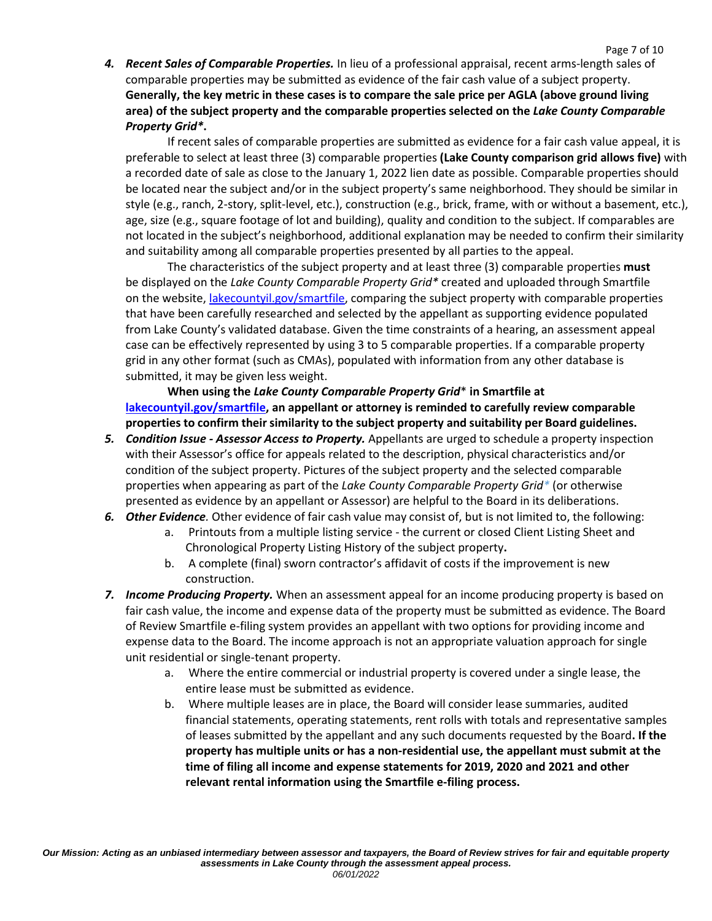*4. Recent Sales of Comparable Properties.* In lieu of a professional appraisal, recent arms-length sales of comparable properties may be submitted as evidence of the fair cash value of a subject property. **Generally, the key metric in these cases is to compare the sale price per AGLA (above ground living area) of the subject property and the comparable properties selected on the** *Lake County Comparable Property Grid\****.**

If recent sales of comparable properties are submitted as evidence for a fair cash value appeal, it is preferable to select at least three (3) comparable properties **(Lake County comparison grid allows five)** with a recorded date of sale as close to the January 1, 2022 lien date as possible. Comparable properties should be located near the subject and/or in the subject property's same neighborhood. They should be similar in style (e.g., ranch, 2-story, split-level, etc.), construction (e.g., brick, frame, with or without a basement, etc.), age, size (e.g., square footage of lot and building), quality and condition to the subject. If comparables are not located in the subject's neighborhood, additional explanation may be needed to confirm their similarity and suitability among all comparable properties presented by all parties to the appeal.

The characteristics of the subject property and at least three (3) comparable properties **must**  be displayed on the *Lake County Comparable Property Grid\** created and uploaded through Smartfile on the website, [lakecountyil.gov/smartfile,](https://www.lakecountyil.gov/smartfile) comparing the subject property with comparable properties that have been carefully researched and selected by the appellant as supporting evidence populated from Lake County's validated database. Given the time constraints of a hearing, an assessment appeal case can be effectively represented by using 3 to 5 comparable properties. If a comparable property grid in any other format (such as CMAs), populated with information from any other database is submitted, it may be given less weight.

**When using the** *Lake County Comparable Property Grid*\* **in Smartfile at [lakecountyil.gov/smartfile, a](https://www.lakecountyil.gov/smartfile)n appellant or attorney is reminded to carefully review comparable properties to confirm their similarity to the subject property and suitability per Board guidelines.**

- *5. Condition Issue - Assessor Access to Property.* Appellants are urged to schedule a property inspection with their Assessor's office for appeals related to the description, physical characteristics and/or condition of the subject property. Pictures of the subject property and the selected comparable properties when appearing as part of the *Lake County Comparable Property Grid\** (or otherwise presented as evidence by an appellant or Assessor) are helpful to the Board in its deliberations.
- *6. Other Evidence.* Other evidence of fair cash value may consist of, but is not limited to, the following:
	- a. Printouts from a multiple listing service the current or closed Client Listing Sheet and Chronological Property Listing History of the subject property**.**
	- b. A complete (final) sworn contractor's affidavit of costs if the improvement is new construction.
- *7. Income Producing Property.* When an assessment appeal for an income producing property is based on fair cash value, the income and expense data of the property must be submitted as evidence. The Board of Review Smartfile e-filing system provides an appellant with two options for providing income and expense data to the Board. The income approach is not an appropriate valuation approach for single unit residential or single-tenant property.
	- a. Where the entire commercial or industrial property is covered under a single lease, the entire lease must be submitted as evidence.
	- b. Where multiple leases are in place, the Board will consider lease summaries, audited financial statements, operating statements, rent rolls with totals and representative samples of leases submitted by the appellant and any such documents requested by the Board**. If the property has multiple units or has a non-residential use, the appellant must submit at the time of filing all income and expense statements for 2019, 2020 and 2021 and other relevant rental information using the Smartfile e-filing process.**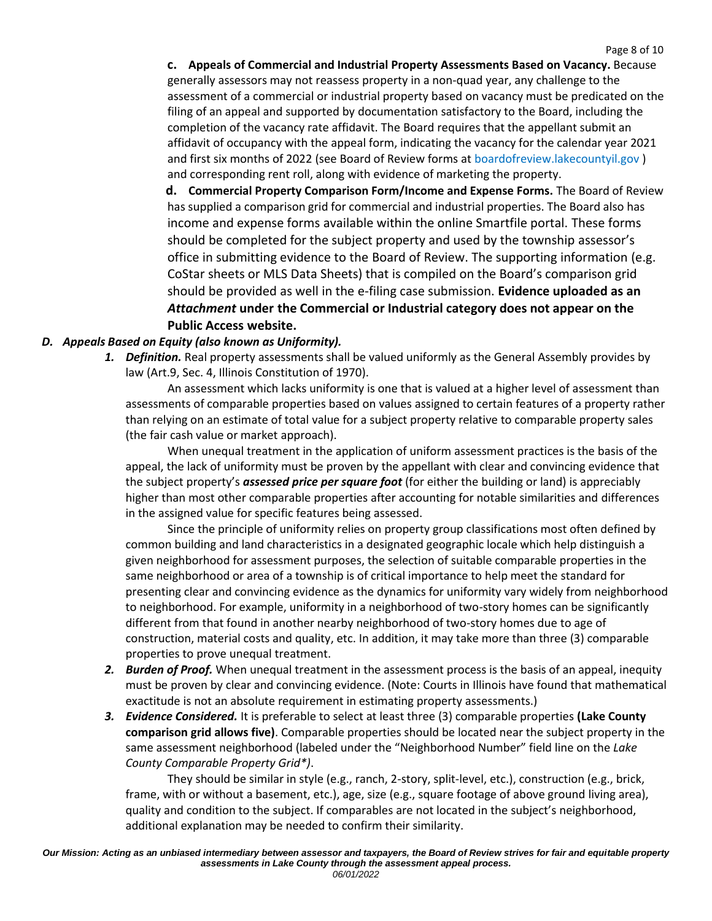**c. Appeals of Commercial and Industrial Property Assessments Based on Vacancy.** Because generally assessors may not reassess property in a non-quad year, any challenge to the assessment of a commercial or industrial property based on vacancy must be predicated on the filing of an appeal and supported by documentation satisfactory to the Board, including the completion of the vacancy rate affidavit. The Board requires that the appellant submit an affidavit of occupancy with the appeal form, indicating the vacancy for the calendar year 2021 and first six months of 2022 (see Board of Review forms at [boardofreview.lakecountyil.gov](https://www.lakecountyil.gov/157/Board-of-Review) ) and corresponding rent roll, along with evidence of marketing the property.

**d. Commercial Property Comparison Form/Income and Expense Forms.** The Board of Review has supplied a comparison grid for commercial and industrial properties. The Board also has income and expense forms available within the online Smartfile portal. These forms should be completed for the subject property and used by the township assessor's office in submitting evidence to the Board of Review. The supporting information (e.g. CoStar sheets or MLS Data Sheets) that is compiled on the Board's comparison grid should be provided as well in the e-filing case submission. **Evidence uploaded as an** *Attachment* **under the Commercial or Industrial category does not appear on the Public Access website.**

# *D. Appeals Based on Equity (also known as Uniformity).*

*1. Definition.* Real property assessments shall be valued uniformly as the General Assembly provides by law (Art.9, Sec. 4, Illinois Constitution of 1970).

An assessment which lacks uniformity is one that is valued at a higher level of assessment than assessments of comparable properties based on values assigned to certain features of a property rather than relying on an estimate of total value for a subject property relative to comparable property sales (the fair cash value or market approach).

When unequal treatment in the application of uniform assessment practices is the basis of the appeal, the lack of uniformity must be proven by the appellant with clear and convincing evidence that the subject property's *assessed price per square foot* (for either the building or land) is appreciably higher than most other comparable properties after accounting for notable similarities and differences in the assigned value for specific features being assessed.

Since the principle of uniformity relies on property group classifications most often defined by common building and land characteristics in a designated geographic locale which help distinguish a given neighborhood for assessment purposes, the selection of suitable comparable properties in the same neighborhood or area of a township is of critical importance to help meet the standard for presenting clear and convincing evidence as the dynamics for uniformity vary widely from neighborhood to neighborhood. For example, uniformity in a neighborhood of two-story homes can be significantly different from that found in another nearby neighborhood of two-story homes due to age of construction, material costs and quality, etc. In addition, it may take more than three (3) comparable properties to prove unequal treatment.

- *2. Burden of Proof.* When unequal treatment in the assessment process is the basis of an appeal, inequity must be proven by clear and convincing evidence. (Note: Courts in Illinois have found that mathematical exactitude is not an absolute requirement in estimating property assessments.)
- *3. Evidence Considered.* It is preferable to select at least three (3) comparable properties **(Lake County comparison grid allows five)**. Comparable properties should be located near the subject property in the same assessment neighborhood (labeled under the "Neighborhood Number" field line on the *Lake County Comparable Property Grid\*)*.

They should be similar in style (e.g., ranch, 2-story, split-level, etc.), construction (e.g., brick, frame, with or without a basement, etc.), age, size (e.g., square footage of above ground living area), quality and condition to the subject. If comparables are not located in the subject's neighborhood, additional explanation may be needed to confirm their similarity.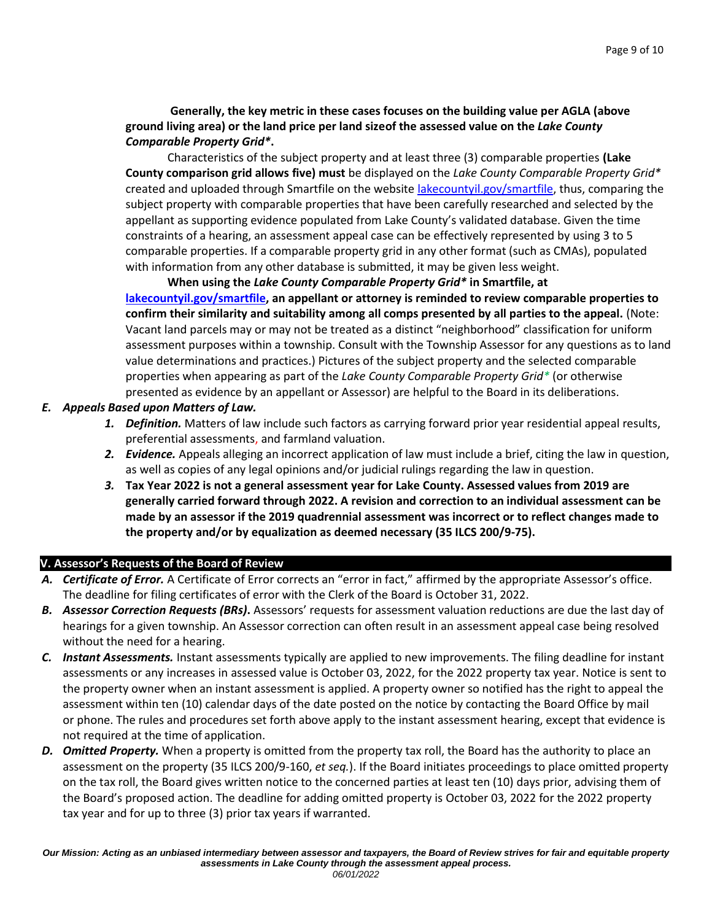**Generally, the key metric in these cases focuses on the building value per AGLA (above ground living area) or the land price per land sizeof the assessed value on the** *Lake County Comparable Property Grid\****.**

Characteristics of the subject property and at least three (3) comparable properties **(Lake County comparison grid allows five) must** be displayed on the *Lake County Comparable Property Grid\** created and uploaded through Smartfile on the website [lakecountyil.gov/smartfile, t](https://www.lakecountyil.gov/smartfile)hus, comparing the subject property with comparable properties that have been carefully researched and selected by the appellant as supporting evidence populated from Lake County's validated database. Given the time constraints of a hearing, an assessment appeal case can be effectively represented by using 3 to 5 comparable properties. If a comparable property grid in any other format (such as CMAs), populated with information from any other database is submitted, it may be given less weight.

**When using the** *Lake County Comparable Property Grid\** **in Smartfile, at [lakecountyil.gov/smartfile, a](https://www.lakecountyil.gov/smartfile)n appellant or attorney is reminded to review comparable properties to confirm their similarity and suitability among all comps presented by all parties to the appeal.** (Note: Vacant land parcels may or may not be treated as a distinct "neighborhood" classification for uniform assessment purposes within a township. Consult with the Township Assessor for any questions as to land value determinations and practices.) Pictures of the subject property and the selected comparable properties when appearing as part of the *Lake County Comparable Property Grid\** (or otherwise presented as evidence by an appellant or Assessor) are helpful to the Board in its deliberations.

#### *E. Appeals Based upon Matters of Law.*

- *1. Definition.* Matters of law include such factors as carrying forward prior year residential appeal results, preferential assessments, and farmland valuation.
- *2. Evidence.* Appeals alleging an incorrect application of law must include a brief, citing the law in question, as well as copies of any legal opinions and/or judicial rulings regarding the law in question.
- *3.* **Tax Year 2022 is not a general assessment year for Lake County. Assessed values from 2019 are generally carried forward through 2022. A revision and correction to an individual assessment can be made by an assessor if the 2019 quadrennial assessment was incorrect or to reflect changes made to the property and/or by equalization as deemed necessary (35 ILCS 200/9-75).**

# **V. Assessor's Requests of the Board of Review**

- *A. Certificate of Error.* A Certificate of Error corrects an "error in fact," affirmed by the appropriate Assessor's office. The deadline for filing certificates of error with the Clerk of the Board is October 31, 2022.
- *B. Assessor Correction Requests (BRs)***.** Assessors' requests for assessment valuation reductions are due the last day of hearings for a given township. An Assessor correction can often result in an assessment appeal case being resolved without the need for a hearing.
- *C. Instant Assessments.* Instant assessments typically are applied to new improvements. The filing deadline for instant assessments or any increases in assessed value is October 03, 2022, for the 2022 property tax year. Notice is sent to the property owner when an instant assessment is applied. A property owner so notified has the right to appeal the assessment within ten (10) calendar days of the date posted on the notice by contacting the Board Office by mail or phone. The rules and procedures set forth above apply to the instant assessment hearing, except that evidence is not required at the time of application.
- *D. Omitted Property.* When a property is omitted from the property tax roll, the Board has the authority to place an assessment on the property (35 ILCS 200/9-160, *et seq.*). If the Board initiates proceedings to place omitted property on the tax roll, the Board gives written notice to the concerned parties at least ten (10) days prior, advising them of the Board's proposed action. The deadline for adding omitted property is October 03, 2022 for the 2022 property tax year and for up to three (3) prior tax years if warranted.